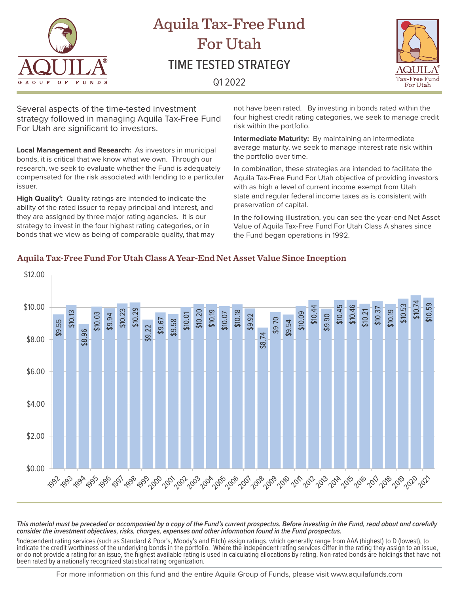

# Aquila Tax-Free Fund For Utah TIME TESTED STRATEGY Q1 2022



Several aspects of the time-tested investment strategy followed in managing Aquila Tax-Free Fund For Utah are significant to investors.

**Local Management and Research:** As investors in municipal bonds, it is critical that we know what we own. Through our research, we seek to evaluate whether the Fund is adequately compensated for the risk associated with lending to a particular issuer.

High Quality<sup>1</sup>: Quality ratings are intended to indicate the ability of the rated issuer to repay principal and interest, and they are assigned by three major rating agencies. It is our strategy to invest in the four highest rating categories, or in bonds that we view as being of comparable quality, that may

not have been rated. By investing in bonds rated within the four highest credit rating categories, we seek to manage credit risk within the portfolio.

**Intermediate Maturity:** By maintaining an intermediate average maturity, we seek to manage interest rate risk within the portfolio over time.

In combination, these strategies are intended to facilitate the Aquila Tax-Free Fund For Utah objective of providing investors with as high a level of current income exempt from Utah state and regular federal income taxes as is consistent with preservation of capital.

In the following illustration, you can see the year-end Net Asset Value of Aquila Tax-Free Fund For Utah Class A shares since the Fund began operations in 1992.

### **Aquila Tax-Free Fund For Utah Class A Year-End Net Asset Value Since Inception**



*This material must be preceded or accompanied by a copy of the Fund's current prospectus. Before investing in the Fund, read about and carefully consider the investment objectives, risks, charges, expenses and other information found in the Fund prospectus.* 

1 Independent rating services (such as Standard & Poor's, Moody's and Fitch) assign ratings, which generally range from AAA (highest) to D (lowest), to indicate the credit worthiness of the underlying bonds in the portfolio. Where the independent rating services differ in the rating they assign to an issue, or do not provide a rating for an issue, the highest available rating is used in calculating allocations by rating. Non-rated bonds are holdings that have not<br>been rated by a nationally recognized statistical rating organi